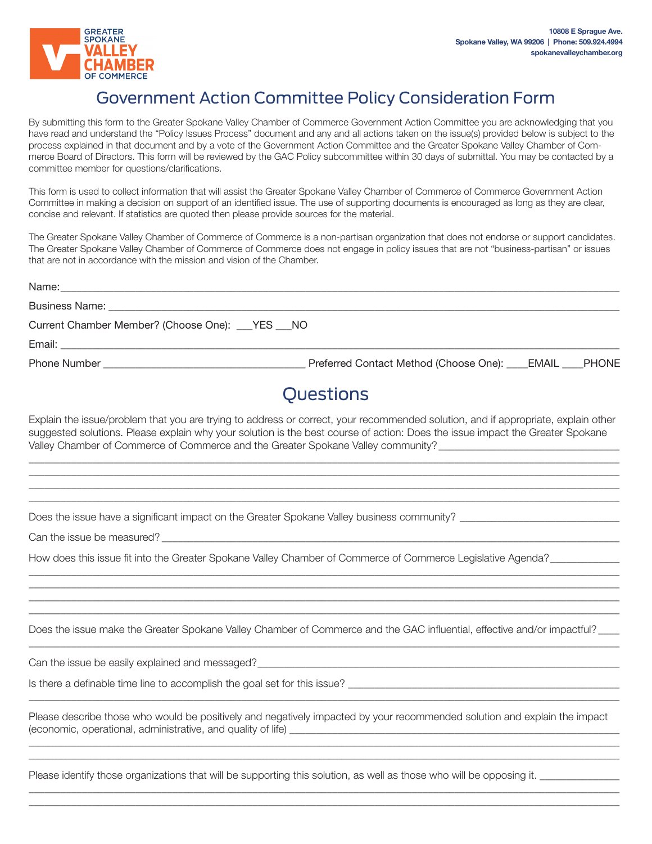

## Government Action Committee Policy Consideration Form

By submitting this form to the Greater Spokane Valley Chamber of Commerce Government Action Committee you are acknowledging that you have read and understand the "Policy Issues Process" document and any and all actions taken on the issue(s) provided below is subject to the process explained in that document and by a vote of the Government Action Committee and the Greater Spokane Valley Chamber of Commerce Board of Directors. This form will be reviewed by the GAC Policy subcommittee within 30 days of submittal. You may be contacted by a committee member for questions/clarifications.

This form is used to collect information that will assist the Greater Spokane Valley Chamber of Commerce of Commerce Government Action Committee in making a decision on support of an identified issue. The use of supporting documents is encouraged as long as they are clear, concise and relevant. If statistics are quoted then please provide sources for the material.

The Greater Spokane Valley Chamber of Commerce of Commerce is a non-partisan organization that does not endorse or support candidates. The Greater Spokane Valley Chamber of Commerce of Commerce does not engage in policy issues that are not "business-partisan" or issues that are not in accordance with the mission and vision of the Chamber.

| Current Chamber Member? (Choose One): ___YES ___NO |                                                    |
|----------------------------------------------------|----------------------------------------------------|
|                                                    |                                                    |
|                                                    | Preferred Contact Method (Choose One): EMAIL PHONE |
|                                                    | $\bigcap$ uoctione                                 |

## Questions

Explain the issue/problem that you are trying to address or correct, your recommended solution, and if appropriate, explain other suggested solutions. Please explain why your solution is the best course of action: Does the issue impact the Greater Spokane Valley Chamber of Commerce of Commerce and the Greater Spokane Valley community?\_\_\_\_\_\_\_\_\_\_\_\_\_\_\_\_\_\_\_\_\_\_\_\_\_\_\_\_\_\_\_\_\_\_

\_\_\_\_\_\_\_\_\_\_\_\_\_\_\_\_\_\_\_\_\_\_\_\_\_\_\_\_\_\_\_\_\_\_\_\_\_\_\_\_\_\_\_\_\_\_\_\_\_\_\_\_\_\_\_\_\_\_\_\_\_\_\_\_\_\_\_\_\_\_\_\_\_\_\_\_\_\_\_\_\_\_\_\_\_\_\_\_\_\_\_\_\_\_\_\_\_\_\_\_\_\_\_\_\_\_\_\_\_\_\_ \_\_\_\_\_\_\_\_\_\_\_\_\_\_\_\_\_\_\_\_\_\_\_\_\_\_\_\_\_\_\_\_\_\_\_\_\_\_\_\_\_\_\_\_\_\_\_\_\_\_\_\_\_\_\_\_\_\_\_\_\_\_\_\_\_\_\_\_\_\_\_\_\_\_\_\_\_\_\_\_\_\_\_\_\_\_\_\_\_\_\_\_\_\_\_\_\_\_\_\_\_\_\_\_\_\_\_\_\_\_\_ \_\_\_\_\_\_\_\_\_\_\_\_\_\_\_\_\_\_\_\_\_\_\_\_\_\_\_\_\_\_\_\_\_\_\_\_\_\_\_\_\_\_\_\_\_\_\_\_\_\_\_\_\_\_\_\_\_\_\_\_\_\_\_\_\_\_\_\_\_\_\_\_\_\_\_\_\_\_\_\_\_\_\_\_\_\_\_\_\_\_\_\_\_\_\_\_\_\_\_\_\_\_\_\_\_\_\_\_\_\_\_ \_\_\_\_\_\_\_\_\_\_\_\_\_\_\_\_\_\_\_\_\_\_\_\_\_\_\_\_\_\_\_\_\_\_\_\_\_\_\_\_\_\_\_\_\_\_\_\_\_\_\_\_\_\_\_\_\_\_\_\_\_\_\_\_\_\_\_\_\_\_\_\_\_\_\_\_\_\_\_\_\_\_\_\_\_\_\_\_\_\_\_\_\_\_\_\_\_\_\_\_\_\_\_\_\_\_\_\_\_\_\_

Does the issue have a significant impact on the Greater Spokane Valley business community?

Can the issue be measured?

How does this issue fit into the Greater Spokane Valley Chamber of Commerce of Commerce Legislative Agenda?\_\_\_\_\_\_\_\_\_

Does the issue make the Greater Spokane Valley Chamber of Commerce and the GAC influential, effective and/or impactful?

\_\_\_\_\_\_\_\_\_\_\_\_\_\_\_\_\_\_\_\_\_\_\_\_\_\_\_\_\_\_\_\_\_\_\_\_\_\_\_\_\_\_\_\_\_\_\_\_\_\_\_\_\_\_\_\_\_\_\_\_\_\_\_\_\_\_\_\_\_\_\_\_\_\_\_\_\_\_\_\_\_\_\_\_\_\_\_\_\_\_\_\_\_\_\_\_\_\_\_\_\_\_\_\_\_\_\_\_\_\_\_

\_\_\_\_\_\_\_\_\_\_\_\_\_\_\_\_\_\_\_\_\_\_\_\_\_\_\_\_\_\_\_\_\_\_\_\_\_\_\_\_\_\_\_\_\_\_\_\_\_\_\_\_\_\_\_\_\_\_\_\_\_\_\_\_\_\_\_\_\_\_\_\_\_\_\_\_\_\_\_\_\_\_\_\_\_\_\_\_\_\_\_\_\_\_\_\_\_\_\_\_\_\_\_\_\_\_\_\_\_\_\_ \_\_\_\_\_\_\_\_\_\_\_\_\_\_\_\_\_\_\_\_\_\_\_\_\_\_\_\_\_\_\_\_\_\_\_\_\_\_\_\_\_\_\_\_\_\_\_\_\_\_\_\_\_\_\_\_\_\_\_\_\_\_\_\_\_\_\_\_\_\_\_\_\_\_\_\_\_\_\_\_\_\_\_\_\_\_\_\_\_\_\_\_\_\_\_\_\_\_\_\_\_\_\_\_\_\_\_\_\_\_\_ \_\_\_\_\_\_\_\_\_\_\_\_\_\_\_\_\_\_\_\_\_\_\_\_\_\_\_\_\_\_\_\_\_\_\_\_\_\_\_\_\_\_\_\_\_\_\_\_\_\_\_\_\_\_\_\_\_\_\_\_\_\_\_\_\_\_\_\_\_\_\_\_\_\_\_\_\_\_\_\_\_\_\_\_\_\_\_\_\_\_\_\_\_\_\_\_\_\_\_\_\_\_\_\_\_\_\_\_\_\_\_ \_\_\_\_\_\_\_\_\_\_\_\_\_\_\_\_\_\_\_\_\_\_\_\_\_\_\_\_\_\_\_\_\_\_\_\_\_\_\_\_\_\_\_\_\_\_\_\_\_\_\_\_\_\_\_\_\_\_\_\_\_\_\_\_\_\_\_\_\_\_\_\_\_\_\_\_\_\_\_\_\_\_\_\_\_\_\_\_\_\_\_\_\_\_\_\_\_\_\_\_\_\_\_\_\_\_\_\_\_\_\_

Can the issue be easily explained and messaged?\_\_\_\_\_\_\_\_\_\_\_\_\_\_\_\_\_\_\_\_\_\_\_\_\_\_\_\_\_\_\_\_\_

Is there a definable time line to accomplish the goal set for this issue? \_\_\_\_\_\_\_\_\_\_\_\_\_\_\_\_\_\_\_\_\_\_\_\_\_\_\_\_\_\_\_\_\_\_\_\_\_\_\_\_\_\_\_\_\_\_\_\_\_\_\_

Please describe those who would be positively and negatively impacted by your recommended solution and explain the impact (economic, operational, administrative, and quality of life) \_\_\_\_\_\_\_\_\_\_\_\_\_\_\_\_\_\_\_\_\_\_\_\_\_\_\_\_\_\_\_\_\_\_\_\_\_\_\_\_\_\_\_\_\_\_\_\_\_\_\_\_\_\_\_\_\_\_\_\_\_\_

\_\_\_\_\_\_\_\_\_\_\_\_\_\_\_\_\_\_\_\_\_\_\_\_\_\_\_\_\_\_\_\_\_\_\_\_\_\_\_\_\_\_\_\_\_\_\_\_\_\_\_\_\_\_\_\_\_\_\_\_\_\_\_\_\_\_\_\_\_\_\_\_\_\_\_\_\_\_\_\_\_\_\_\_\_\_\_\_\_\_\_\_\_\_\_\_\_\_\_\_\_\_\_\_\_\_\_\_\_\_\_\_\_\_\_\_\_\_\_\_\_\_\_\_\_\_\_\_\_\_\_\_\_\_\_\_\_\_\_\_\_\_\_\_\_\_\_\_\_\_\_\_\_\_\_\_\_\_\_\_\_\_\_\_\_\_\_\_\_\_\_\_\_\_\_\_\_\_\_\_\_\_\_\_\_ \_\_\_\_\_\_\_\_\_\_\_\_\_\_\_\_\_\_\_\_\_\_\_\_\_\_\_\_\_\_\_\_\_\_\_\_\_\_\_\_\_\_\_\_\_\_\_\_\_\_\_\_\_\_\_\_\_\_\_\_\_\_\_\_\_\_\_\_\_\_\_\_\_\_\_\_\_\_\_\_\_\_\_\_\_\_\_\_\_\_\_\_\_\_\_\_\_\_\_\_\_\_\_\_\_\_\_\_\_\_\_\_\_\_\_\_\_\_\_\_\_\_\_\_\_\_\_\_\_\_\_\_\_\_\_\_\_\_\_\_\_\_\_\_\_\_\_\_\_\_\_\_\_\_\_\_\_\_\_\_\_\_\_\_\_\_\_\_\_\_\_\_\_\_\_\_\_\_\_\_\_\_\_\_\_

\_\_\_\_\_\_\_\_\_\_\_\_\_\_\_\_\_\_\_\_\_\_\_\_\_\_\_\_\_\_\_\_\_\_\_\_\_\_\_\_\_\_\_\_\_\_\_\_\_\_\_\_\_\_\_\_\_\_\_\_\_\_\_\_\_\_\_\_\_\_\_\_\_\_\_\_\_\_\_\_\_\_\_\_\_\_\_\_\_\_\_\_\_\_\_\_\_\_\_\_\_\_\_\_\_\_\_\_\_\_\_ \_\_\_\_\_\_\_\_\_\_\_\_\_\_\_\_\_\_\_\_\_\_\_\_\_\_\_\_\_\_\_\_\_\_\_\_\_\_\_\_\_\_\_\_\_\_\_\_\_\_\_\_\_\_\_\_\_\_\_\_\_\_\_\_\_\_\_\_\_\_\_\_\_\_\_\_\_\_\_\_\_\_\_\_\_\_\_\_\_\_\_\_\_\_\_\_\_\_\_\_\_\_\_\_\_\_\_\_\_\_\_

\_\_\_\_\_\_\_\_\_\_\_\_\_\_\_\_\_\_\_\_\_\_\_\_\_\_\_\_\_\_\_\_\_\_\_\_\_\_\_\_\_\_\_\_\_\_\_\_\_\_\_\_\_\_\_\_\_\_\_\_\_\_\_\_\_\_\_\_\_\_\_\_\_\_\_\_\_\_\_\_\_\_\_\_\_\_\_\_\_\_\_\_\_\_\_\_\_\_\_\_\_\_\_\_\_\_\_\_\_\_\_

Please identify those organizations that will be supporting this solution, as well as those who will be opposing it.